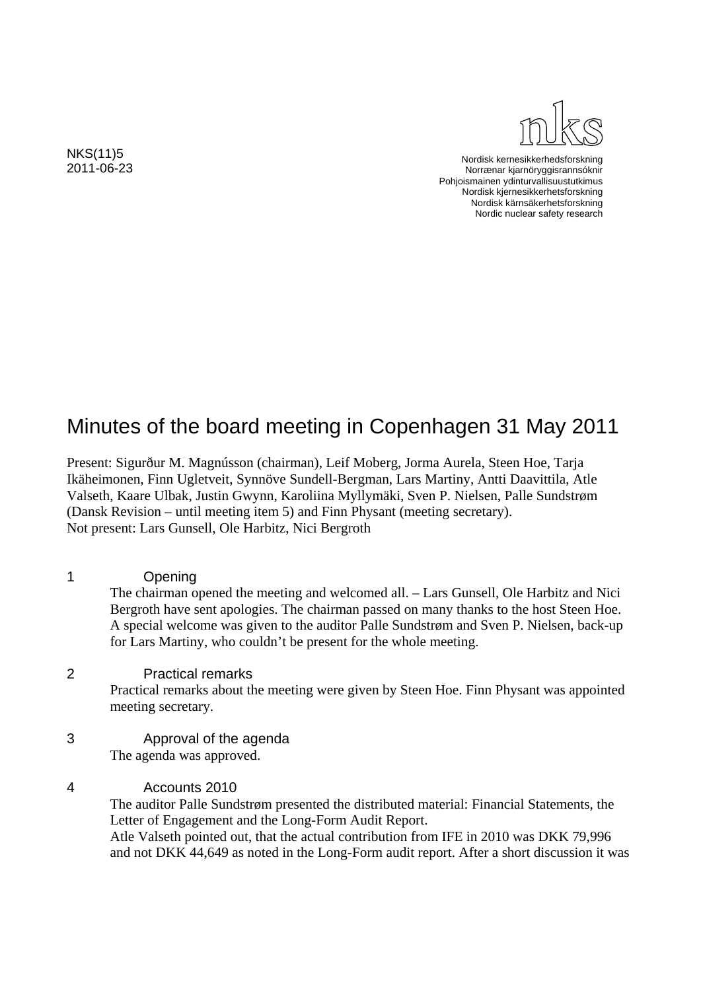

Nordisk kernesikkerhedsforskning Norrænar kjarnöryggisrannsóknir Pohjoismainen ydinturvallisuustutkimus Nordisk kjernesikkerhetsforskning Nordisk kärnsäkerhetsforskning Nordic nuclear safety research

2011-06-23

NKS(11)5

# Minutes of the board meeting in Copenhagen 31 May 2011

Present: Sigurður M. Magnússon (chairman), Leif Moberg, Jorma Aurela, Steen Hoe, Tarja Ikäheimonen, Finn Ugletveit, Synnöve Sundell-Bergman, Lars Martiny, Antti Daavittila, Atle Valseth, Kaare Ulbak, Justin Gwynn, Karoliina Myllymäki, Sven P. Nielsen, Palle Sundstrøm (Dansk Revision – until meeting item 5) and Finn Physant (meeting secretary). Not present: Lars Gunsell, Ole Harbitz, Nici Bergroth

1 Opening The chairman opened the meeting and welcomed all. – Lars Gunsell, Ole Harbitz and Nici Bergroth have sent apologies. The chairman passed on many thanks to the host Steen Hoe. A special welcome was given to the auditor Palle Sundstrøm and Sven P. Nielsen, back-up for Lars Martiny, who couldn't be present for the whole meeting.

- 2 Practical remarks Practical remarks about the meeting were given by Steen Hoe. Finn Physant was appointed meeting secretary.
- 3 Approval of the agenda The agenda was approved.
- 4 Accounts 2010

 The auditor Palle Sundstrøm presented the distributed material: Financial Statements, the Letter of Engagement and the Long-Form Audit Report. Atle Valseth pointed out, that the actual contribution from IFE in 2010 was DKK 79,996 and not DKK 44,649 as noted in the Long-Form audit report. After a short discussion it was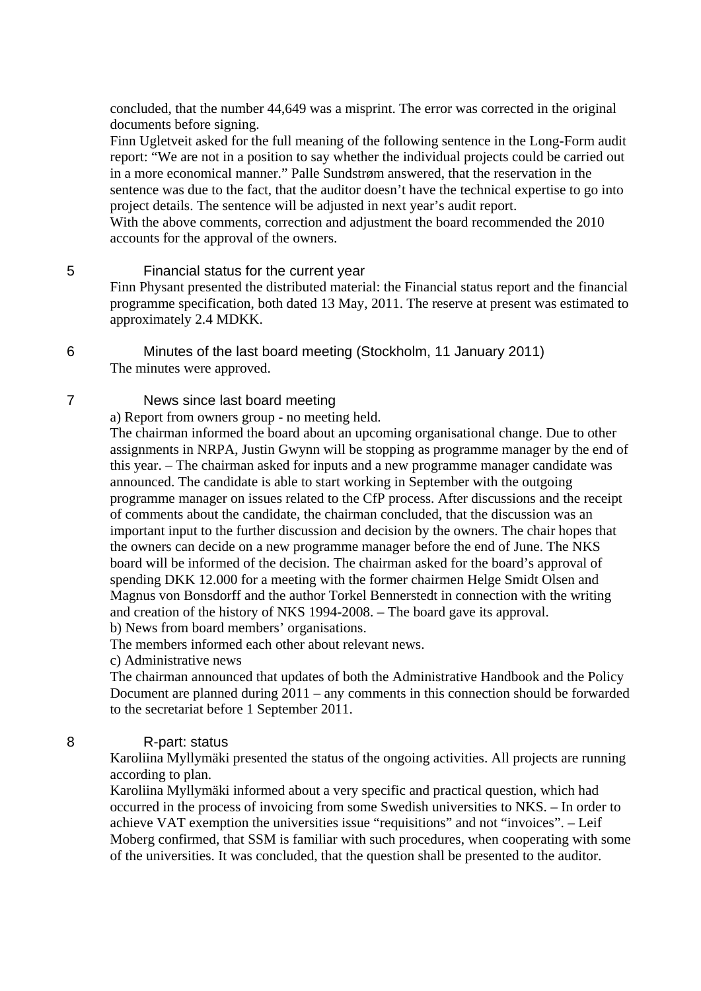concluded, that the number 44,649 was a misprint. The error was corrected in the original documents before signing.

Finn Ugletveit asked for the full meaning of the following sentence in the Long-Form audit report: "We are not in a position to say whether the individual projects could be carried out in a more economical manner." Palle Sundstrøm answered, that the reservation in the sentence was due to the fact, that the auditor doesn't have the technical expertise to go into project details. The sentence will be adjusted in next year's audit report.

With the above comments, correction and adjustment the board recommended the 2010 accounts for the approval of the owners.

## 5 Financial status for the current year

Finn Physant presented the distributed material: the Financial status report and the financial programme specification, both dated 13 May, 2011. The reserve at present was estimated to approximately 2.4 MDKK.

6 Minutes of the last board meeting (Stockholm, 11 January 2011) The minutes were approved.

# 7 News since last board meeting

a) Report from owners group - no meeting held.

The chairman informed the board about an upcoming organisational change. Due to other assignments in NRPA, Justin Gwynn will be stopping as programme manager by the end of this year. – The chairman asked for inputs and a new programme manager candidate was announced. The candidate is able to start working in September with the outgoing programme manager on issues related to the CfP process. After discussions and the receipt of comments about the candidate, the chairman concluded, that the discussion was an important input to the further discussion and decision by the owners. The chair hopes that the owners can decide on a new programme manager before the end of June. The NKS board will be informed of the decision. The chairman asked for the board's approval of spending DKK 12.000 for a meeting with the former chairmen Helge Smidt Olsen and Magnus von Bonsdorff and the author Torkel Bennerstedt in connection with the writing and creation of the history of NKS 1994-2008. – The board gave its approval.

b) News from board members' organisations.

The members informed each other about relevant news.

c) Administrative news

The chairman announced that updates of both the Administrative Handbook and the Policy Document are planned during 2011 – any comments in this connection should be forwarded to the secretariat before 1 September 2011.

## 8 R-part: status

Karoliina Myllymäki presented the status of the ongoing activities. All projects are running according to plan.

Karoliina Myllymäki informed about a very specific and practical question, which had occurred in the process of invoicing from some Swedish universities to NKS. – In order to achieve VAT exemption the universities issue "requisitions" and not "invoices". – Leif Moberg confirmed, that SSM is familiar with such procedures, when cooperating with some of the universities. It was concluded, that the question shall be presented to the auditor.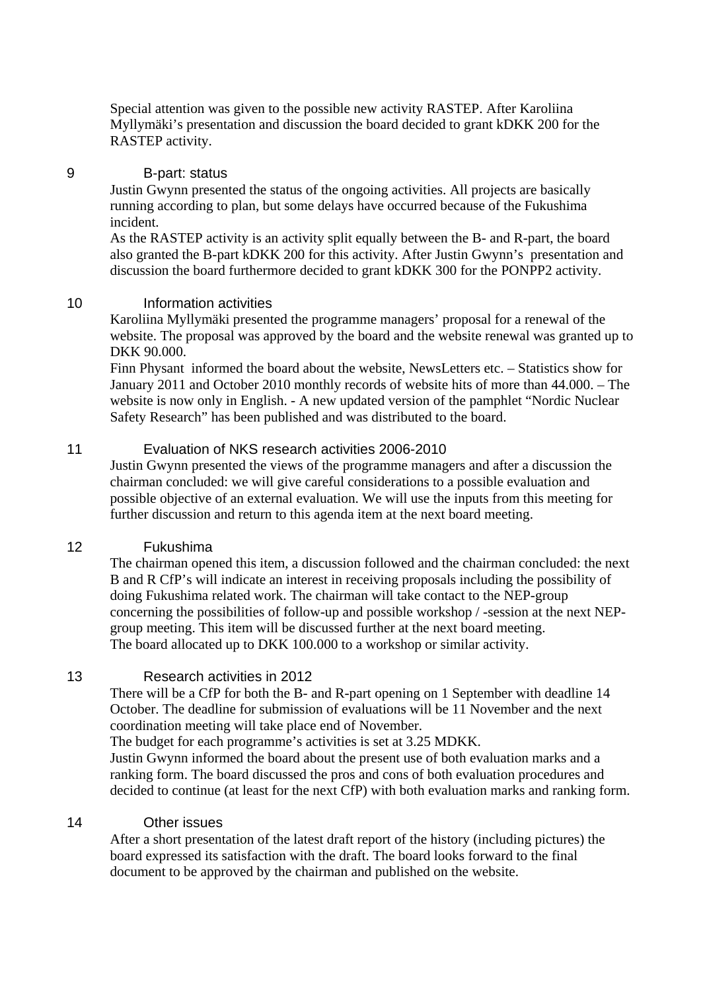Special attention was given to the possible new activity RASTEP. After Karoliina Myllymäki's presentation and discussion the board decided to grant kDKK 200 for the RASTEP activity.

#### 9 B-part: status

Justin Gwynn presented the status of the ongoing activities. All projects are basically running according to plan, but some delays have occurred because of the Fukushima incident.

As the RASTEP activity is an activity split equally between the B- and R-part, the board also granted the B-part kDKK 200 for this activity. After Justin Gwynn's presentation and discussion the board furthermore decided to grant kDKK 300 for the PONPP2 activity.

## 10 Information activities

Karoliina Myllymäki presented the programme managers' proposal for a renewal of the website. The proposal was approved by the board and the website renewal was granted up to DKK 90.000.

Finn Physant informed the board about the website, NewsLetters etc. – Statistics show for January 2011 and October 2010 monthly records of website hits of more than 44.000. – The website is now only in English. - A new updated version of the pamphlet "Nordic Nuclear Safety Research" has been published and was distributed to the board.

# 11 Evaluation of NKS research activities 2006-2010

Justin Gwynn presented the views of the programme managers and after a discussion the chairman concluded: we will give careful considerations to a possible evaluation and possible objective of an external evaluation. We will use the inputs from this meeting for further discussion and return to this agenda item at the next board meeting.

#### 12 Fukushima

The chairman opened this item, a discussion followed and the chairman concluded: the next B and R CfP's will indicate an interest in receiving proposals including the possibility of doing Fukushima related work. The chairman will take contact to the NEP-group concerning the possibilities of follow-up and possible workshop / -session at the next NEPgroup meeting. This item will be discussed further at the next board meeting. The board allocated up to DKK 100.000 to a workshop or similar activity.

# 13 Research activities in 2012

There will be a CfP for both the B- and R-part opening on 1 September with deadline 14 October. The deadline for submission of evaluations will be 11 November and the next coordination meeting will take place end of November.

The budget for each programme's activities is set at 3.25 MDKK.

Justin Gwynn informed the board about the present use of both evaluation marks and a ranking form. The board discussed the pros and cons of both evaluation procedures and decided to continue (at least for the next CfP) with both evaluation marks and ranking form.

#### 14 Other issues

After a short presentation of the latest draft report of the history (including pictures) the board expressed its satisfaction with the draft. The board looks forward to the final document to be approved by the chairman and published on the website.